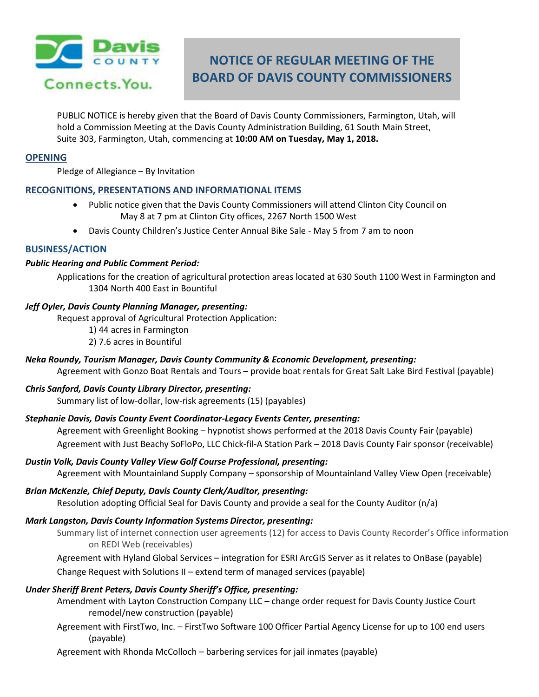

# **NOTICE OF REGULAR MEETING OF THE BOARD OF DAVIS COUNTY COMMISSIONERS**

PUBLIC NOTICE is hereby given that the Board of Davis County Commissioners, Farmington, Utah, will hold a Commission Meeting at the Davis County Administration Building, 61 South Main Street, Suite 303, Farmington, Utah, commencing at **10:00 AM on Tuesday, May 1, 2018.**

# **OPENING**

Pledge of Allegiance – By Invitation

# **RECOGNITIONS, PRESENTATIONS AND INFORMATIONAL ITEMS**

- Public notice given that the Davis County Commissioners will attend Clinton City Council on May 8 at 7 pm at Clinton City offices, 2267 North 1500 West
- Davis County Children's Justice Center Annual Bike Sale May 5 from 7 am to noon

## **BUSINESS/ACTION**

## *Public Hearing and Public Comment Period:*

Applications for the creation of agricultural protection areas located at 630 South 1100 West in Farmington and 1304 North 400 East in Bountiful

## *Jeff Oyler, Davis County Planning Manager, presenting:*

Request approval of Agricultural Protection Application:

1) 44 acres in Farmington 2) 7.6 acres in Bountiful

*Neka Roundy, Tourism Manager, Davis County Community & Economic Development, presenting:*

Agreement with Gonzo Boat Rentals and Tours – provide boat rentals for Great Salt Lake Bird Festival (payable)

# *Chris Sanford, Davis County Library Director, presenting:*

Summary list of low-dollar, low-risk agreements (15) (payables)

# *Stephanie Davis, Davis County Event Coordinator-Legacy Events Center, presenting:*

Agreement with Greenlight Booking – hypnotist shows performed at the 2018 Davis County Fair (payable) Agreement with Just Beachy SoFloPo, LLC Chick-fil-A Station Park – 2018 Davis County Fair sponsor (receivable)

## *Dustin Volk, Davis County Valley View Golf Course Professional, presenting:*

Agreement with Mountainland Supply Company – sponsorship of Mountainland Valley View Open (receivable)

# *Brian McKenzie, Chief Deputy, Davis County Clerk/Auditor, presenting:*

Resolution adopting Official Seal for Davis County and provide a seal for the County Auditor (n/a)

#### *Mark Langston, Davis County Information Systems Director, presenting:*

Summary list of internet connection user agreements (12) for access to Davis County Recorder's Office information on REDI Web (receivables)

Agreement with Hyland Global Services – integration for ESRI ArcGIS Server as it relates to OnBase (payable)

Change Request with Solutions II – extend term of managed services (payable)

# *Under Sheriff Brent Peters, Davis County Sheriff's Office, presenting:*

Amendment with Layton Construction Company LLC – change order request for Davis County Justice Court remodel/new construction (payable)

Agreement with FirstTwo, Inc. – FirstTwo Software 100 Officer Partial Agency License for up to 100 end users (payable)

Agreement with Rhonda McColloch – barbering services for jail inmates (payable)